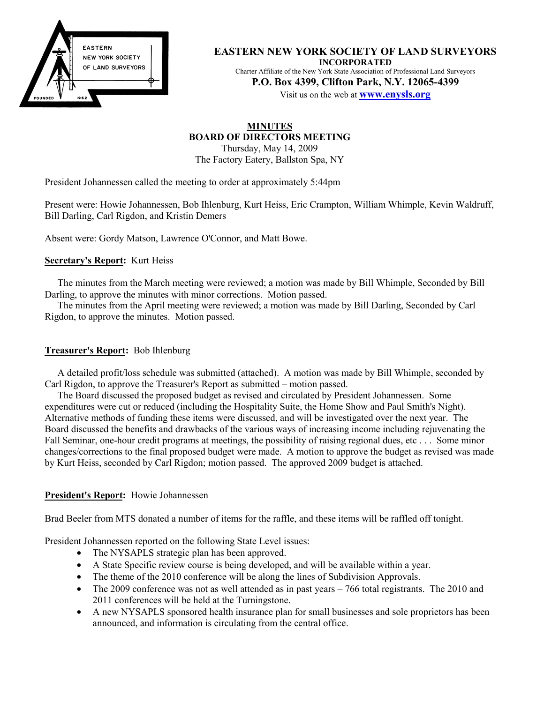

**EASTERN NEW YORK SOCIETY OF LAND SURVEYORS INCORPORATED** Charter Affiliate of the New York State Association of Professional Land Surveyors **P.O. Box 4399, Clifton Park, N.Y. 12065-4399**

Visit us on the web at **www.enysls.org**

# **MINUTES BOARD OF DIRECTORS MEETING**

Thursday, May 14, 2009 The Factory Eatery, Ballston Spa, NY

President Johannessen called the meeting to order at approximately 5:44pm

Present were: Howie Johannessen, Bob Ihlenburg, Kurt Heiss, Eric Crampton, William Whimple, Kevin Waldruff, Bill Darling, Carl Rigdon, and Kristin Demers

Absent were: Gordy Matson, Lawrence O'Connor, and Matt Bowe.

## **Secretary's Report:** Kurt Heiss

The minutes from the March meeting were reviewed; a motion was made by Bill Whimple, Seconded by Bill Darling, to approve the minutes with minor corrections. Motion passed.

The minutes from the April meeting were reviewed; a motion was made by Bill Darling, Seconded by Carl Rigdon, to approve the minutes. Motion passed.

# **Treasurer's Report:** Bob Ihlenburg

A detailed profit/loss schedule was submitted (attached). A motion was made by Bill Whimple, seconded by Carl Rigdon, to approve the Treasurer's Report as submitted – motion passed.

The Board discussed the proposed budget as revised and circulated by President Johannessen. Some expenditures were cut or reduced (including the Hospitality Suite, the Home Show and Paul Smith's Night). Alternative methods of funding these items were discussed, and will be investigated over the next year. The Board discussed the benefits and drawbacks of the various ways of increasing income including rejuvenating the Fall Seminar, one-hour credit programs at meetings, the possibility of raising regional dues, etc... Some minor changes/corrections to the final proposed budget were made. A motion to approve the budget as revised was made by Kurt Heiss, seconded by Carl Rigdon; motion passed. The approved 2009 budget is attached.

## **President's Report:** Howie Johannessen

Brad Beeler from MTS donated a number of items for the raffle, and these items will be raffled off tonight.

President Johannessen reported on the following State Level issues:

- The NYSAPLS strategic plan has been approved.
- A State Specific review course is being developed, and will be available within a year.
- The theme of the 2010 conference will be along the lines of Subdivision Approvals.
- The 2009 conference was not as well attended as in past years 766 total registrants. The 2010 and 2011 conferences will be held at the Turningstone.
- A new NYSAPLS sponsored health insurance plan for small businesses and sole proprietors has been announced, and information is circulating from the central office.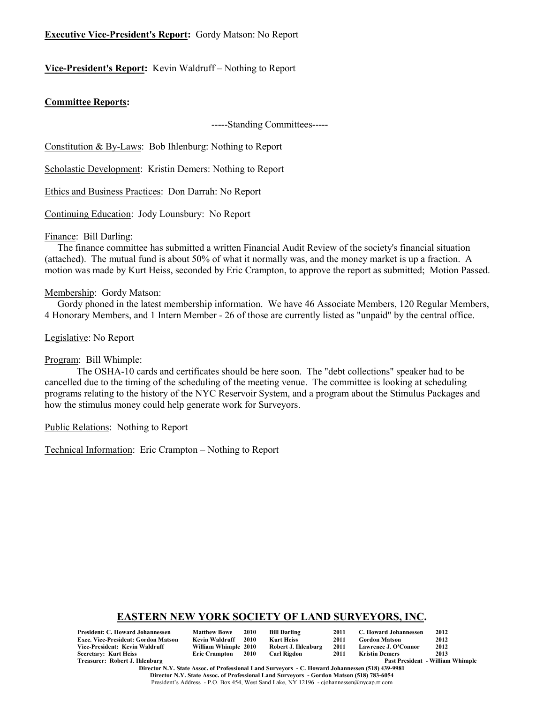# **Executive Vice-President's Report:** Gordy Matson: No Report

# **Vice-President's Report:** Kevin Waldruff – Nothing to Report

#### **Committee Reports:**

-----Standing Committees-----

Constitution & By-Laws: Bob Ihlenburg: Nothing to Report

Scholastic Development: Kristin Demers: Nothing to Report

Ethics and Business Practices: Don Darrah: No Report

Continuing Education: Jody Lounsbury: No Report

#### Finance: Bill Darling:

The finance committee has submitted a written Financial Audit Review of the society's financial situation (attached). The mutual fund is about 50% of what it normally was, and the money market is up a fraction. A motion was made by Kurt Heiss, seconded by Eric Crampton, to approve the report as submitted; Motion Passed.

#### Membership: Gordy Matson:

Gordy phoned in the latest membership information. We have 46 Associate Members, 120 Regular Members, 4 Honorary Members, and 1 Intern Member - 26 of those are currently listed as "unpaid" by the central office.

Legislative: No Report

#### Program: Bill Whimple:

The OSHA-10 cards and certificates should be here soon. The "debt collections" speaker had to be cancelled due to the timing of the scheduling of the meeting venue. The committee is looking at scheduling programs relating to the history of the NYC Reservoir System, and a program about the Stimulus Packages and how the stimulus money could help generate work for Surveyors.

Public Relations: Nothing to Report

Technical Information: Eric Crampton – Nothing to Report

## **EASTERN NEW YORK SOCIETY OF LAND SURVEYORS, INC.**

| <b>President: C. Howard Johannessen</b>    | <b>Matthew Bowe</b>  | 2010 | Bill Darling        | 2011 | C. Howard Johannessen | 2012                                    |
|--------------------------------------------|----------------------|------|---------------------|------|-----------------------|-----------------------------------------|
| <b>Exec. Vice-President: Gordon Matson</b> | Kevin Waldruff       | 2010 | Kurt Heiss          | 2011 | <b>Gordon Matson</b>  | 2012                                    |
| Vice-President: Kevin Waldruff             | William Whimple 2010 |      | Robert J. Ihlenburg | 2011 | Lawrence J. O'Connor  | 2012                                    |
| <b>Secretary: Kurt Heiss</b>               | Eric Crampton 2010   |      | Carl Rigdon         | 2011 | Kristin Demers        | 2013                                    |
| Treasurer: Robert J. Ihlenburg             |                      |      |                     |      |                       | <b>Past President - William Whimple</b> |

**Director N.Y. State Assoc. of Professional Land Surveyors - C. Howard Johannessen (518) 439-9981 Director N.Y. State Assoc. of Professional Land Surveyors - Gordon Matson (518) 783-6054** President's Address - P.O. Box 454, West Sand Lake, NY 12196 - cjohannessen@nycap.rr.com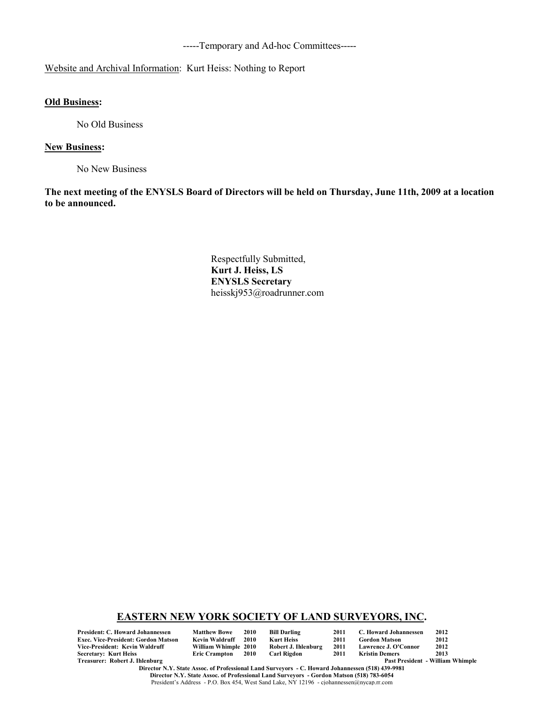-----Temporary and Ad-hoc Committees-----

# Website and Archival Information: Kurt Heiss: Nothing to Report

# **Old Business:**

No Old Business

#### **New Business:**

No New Business

**The next meeting of the ENYSLS Board of Directors will be held on Thursday, June 11th, 2009 at a location to be announced.**

> Respectfully Submitted, **Kurt J. Heiss, LS ENYSLS Secretary** heisskj953@roadrunner.com

#### **EASTERN NEW YORK SOCIETY OF LAND SURVEYORS, INC.**

**President: C. Howard Johannessen Matthew Bowe 2010 Bill Darling 2011 C. Howard Johannessen 2012 Exec. Vice-President: Gordon Matson Kevin Waldruff 2010 Kurt Heiss 2011 Gordon Matson 2012 Vice-President: Kevin Waldruff William Whimple 2010 Robert J. Ihlenburg 2011 Lawrence J. O'Connor 2012 Secretary: Kurt Heiss<br>Treasurer: Robert J. Ihlenburg** 

Past President - William Whimple

**Director N.Y. State Assoc. of Professional Land Surveyors - C. Howard Johannessen (518) 439-9981 Director N.Y. State Assoc. of Professional Land Surveyors - Gordon Matson (518) 783-6054**

President's Address - P.O. Box 454, West Sand Lake, NY 12196 - cjohannessen@nycap.rr.com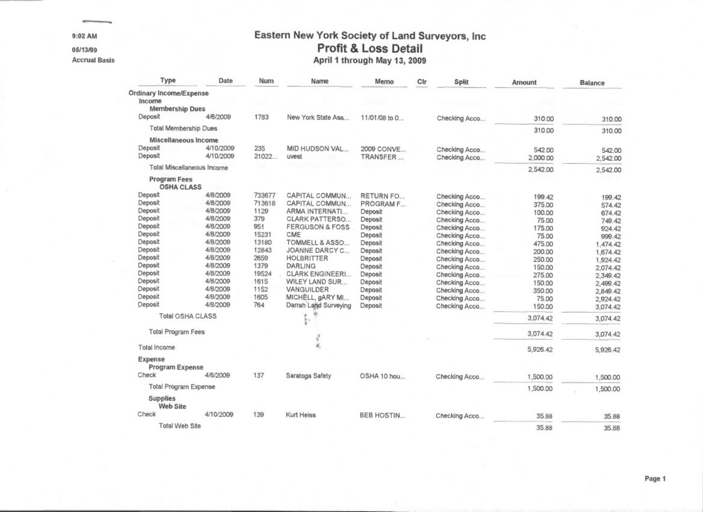9:02 AM

05/13/09

**Accrual Basis** 

# Eastern New York Society of Land Surveyors, Inc Profit & Loss Detail April 1 through May 13, 2009

| Type                                     | Date      | Num    | Name                       | Memo              | Cir | <b>Split</b>  | Amount   | <b>Balance</b> |
|------------------------------------------|-----------|--------|----------------------------|-------------------|-----|---------------|----------|----------------|
| Ordinary Income/Expense                  |           |        |                            |                   |     |               |          |                |
| Income                                   |           |        |                            |                   |     |               |          |                |
| <b>Membership Dues</b>                   |           |        |                            |                   |     |               |          |                |
| Deposit                                  | 4/6/2009  | 1783   | New York State Ass         | 11/01/08 to 0     |     | Checking Acco | 310.00   | 310.00         |
| <b>Total Membership Dues</b>             |           |        |                            |                   |     |               | 310.00   | 310.00         |
| Miscellaneous Income                     |           |        |                            |                   |     |               |          |                |
| Deposit                                  | 4/10/2009 | 235    | MID HUDSON VAL             | 2009 CONVE        |     | Checking Acco | 542.00   | 542.00         |
| Deposit                                  | 4/10/2009 | 21022  | uvest                      | TRANSFER          |     | Checking Acco | 2,000.00 | 2,542.00       |
| <b>Total Miscellaneous Income</b>        |           |        |                            |                   |     |               | 2,542.00 | 2,542.00       |
| <b>Program Fees</b><br><b>OSHA CLASS</b> |           |        |                            |                   |     |               |          |                |
| Deposit                                  | 4/8/2009  | 733677 | CAPITAL COMMUN             | RETURN FO         |     | Checking Acco | 199.42   | 199.42         |
| Deposit                                  | 4/8/2009  | 713618 | CAPITAL COMMUN             | PROGRAM F         |     | Checking Acco | 375.00   | 574.42         |
| Deposit                                  | 4/8/2009  | 1129   | ARMA INTERNATI             | Deposit           |     | Checking Acco | 100.00   | 674.42         |
| Deposit                                  | 4/8/2009  | 379    | <b>CLARK PATTERSO</b>      | Deposit           |     | Checking Acco | 75.00    | 749.42         |
| Deposit                                  | 4/8/2009  | 951    | <b>FERGUSON &amp; FOSS</b> | Deposit           |     | Checking Acco | 175.00   | 924.42         |
| Deposit                                  | 4/8/2009  | 15231  | CME                        | Deposit           |     | Checking Acco | 75.00    | 999.42         |
| Deposit                                  | 4/8/2009  | 13180  | TOMMELL & ASSO             | Deposit           |     | Checking Acco | 475.00   | 1.474.42       |
| Deposit                                  | 4/8/2009  | 12843  | JOANNE DARCY C             | Deposit           |     | Checking Acco | 200.00   |                |
| Deposit                                  | 4/8/2009  | 2659   | <b>HOLBRITTER</b>          | Deposit           |     | Checking Acco | 250.00   | 1,674.42       |
| Deposit                                  | 4/8/2009  | 1379   | <b>DARLING</b>             | Deposit           |     | Checking Acco | 150.00   | 1.924.42       |
| Deposit                                  | 4/8/2009  | 19524  | <b>CLARK ENGINEERI</b>     | Deposit           |     |               |          | 2,074.42       |
| Deposit                                  | 4/8/2009  | 1615   | WILEY LAND SUR             | Deposit           |     | Checking Acco | 275.00   | 2,349.42       |
| Deposit                                  | 4/8/2009  | 1152   | VANGUILDER                 |                   |     | Checking Acco | 150.00   | 2,499.42       |
| Deposit                                  | 4/8/2009  | 1605   |                            | Deposit           |     | Checking Acco | 350.00   | 2,849.42       |
| Deposit                                  | 4/8/2009  |        | MICHELL, gARY MI           | Deposit           |     | Checking Acco | 75.00    | 2,924.42       |
|                                          |           | 764    | Darrah Land Surveying      | Deposit           |     | Checking Acco | 150.00   | 3,074.42       |
| <b>Total OSHA CLASS</b>                  |           |        | ĸ<br>ţ.                    |                   |     |               | 3.074.42 | 3.074.42       |
| <b>Total Program Fees</b>                |           |        | ç,                         |                   |     |               | 3,074.42 | 3,074.42       |
| Total Income                             |           |        | ä,                         |                   |     |               | 5,926.42 | 5,926.42       |
| Expense<br><b>Program Expense</b>        |           |        |                            |                   |     |               |          |                |
| Check                                    | 4/6/2009  | 137    | Saratoga Safety            | OSHA 10 hou       |     | Checking Acco | 1,500.00 | 1,500.00       |
| <b>Total Program Expense</b>             |           |        |                            |                   |     |               | 1,500.00 | 1,500.00       |
| <b>Supplies</b><br><b>Web Site</b>       |           |        |                            |                   |     |               |          |                |
| Check                                    | 4/10/2009 | 139    | Kurt Heiss                 | <b>BEB HOSTIN</b> |     | Checking Acco | 35.88    | 35.88          |
| Total Web Site                           |           |        |                            |                   |     |               | 35.88    | 35.88          |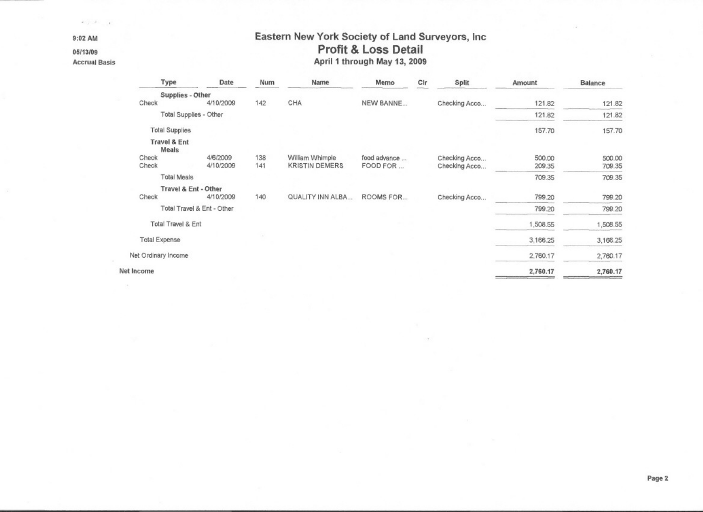9:02 AM

05/13/09

**Accrual Basis** 

 $\geq$ 

 $\kappa$  ,  $\beta$  ,  $\gamma$  ,  $\kappa$  .

# Eastern New York Society of Land Surveyors, Inc Profit & Loss Detail April 1 through May 13, 2009

| Type                                    | Date                       | Num | Name                  | Memo         | Cir | Split         | Amount   | <b>Balance</b> |
|-----------------------------------------|----------------------------|-----|-----------------------|--------------|-----|---------------|----------|----------------|
| Supplies - Other                        |                            |     |                       |              |     |               |          |                |
| Check                                   | 4/10/2009                  | 142 | CHA                   | NEW BANNE    |     | Checking Acco | 121.82   | 121.82         |
| Total Supplies - Other                  |                            |     |                       |              |     |               | 121.82   | 121.82         |
| <b>Total Supplies</b>                   |                            |     |                       |              |     |               | 157.70   | 157.70         |
| <b>Travel &amp; Ent</b><br><b>Meals</b> |                            |     |                       |              |     |               |          |                |
| Check                                   | 4/6/2009                   | 138 | William Whimple       | food advance |     | Checking Acco | 500.00   | 500.00         |
| Check                                   | 4/10/2009                  | 141 | <b>KRISTIN DEMERS</b> | FOOD FOR     |     | Checking Acco | 209.35   | 709.35         |
| <b>Total Meals</b>                      |                            |     |                       |              |     |               | 709.35   | 709.35         |
| Travel & Ent - Other                    |                            |     |                       |              |     |               |          |                |
| Check                                   | 4/10/2009                  | 140 | QUALITY INN ALBA      | ROOMS FOR    |     | Checking Acco | 799.20   | 799.20         |
|                                         | Total Travel & Ent - Other |     |                       |              |     |               | 799.20   | 799.20         |
| <b>Total Travel &amp; Ent</b>           |                            |     |                       |              |     |               | 1,508.55 | 1,508.55       |
| <b>Total Expense</b>                    |                            |     |                       |              |     |               | 3,166.25 | 3,166.25       |
| Net Ordinary Income                     |                            |     |                       |              |     |               | 2,760.17 | 2,760.17       |
| Net Income                              |                            |     |                       |              |     |               | 2,760.17 | 2,760.17       |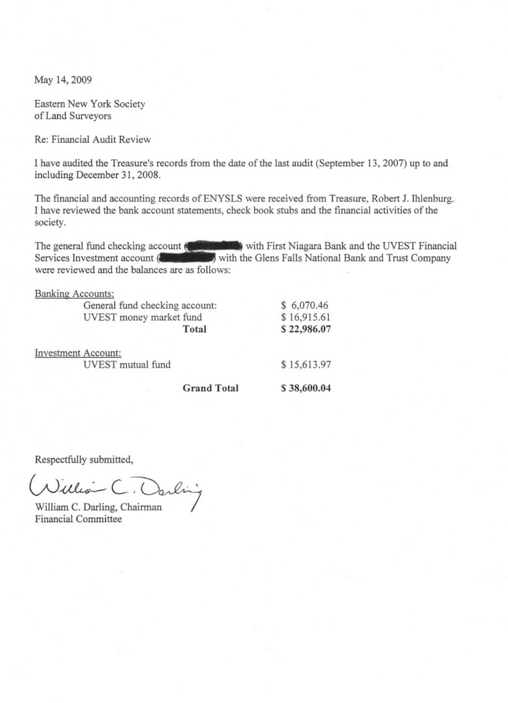May 14, 2009

Eastern New York Society of Land Surveyors

Re: Financial Audit Review

I have audited the Treasure's records from the date of the last audit (September 13, 2007) up to and including December 31, 2008.

The financial and accounting records of ENYSLS were received from Treasure, Robert J. Ihlenburg. I have reviewed the bank account statements, check book stubs and the financial activities of the society.

The general fund checking account (Contribution with First Niagara Bank and the UVEST Financial Services Investment account (Successions) with the Glens Falls National Bank and Trust Company were reviewed and the balances are as follows:

| <b>Banking Accounts:</b>       |                    |             |
|--------------------------------|--------------------|-------------|
| General fund checking account: |                    | \$6,070.46  |
| UVEST money market fund        |                    | \$16,915.61 |
|                                | Total              | \$22,986.07 |
| <b>Investment Account:</b>     |                    |             |
| UVEST mutual fund              |                    | \$15,613.97 |
|                                | <b>Grand Total</b> | \$38,600.04 |

Respectfully submitted,

Nillian (

William C. Darling, Chairman **Financial Committee**